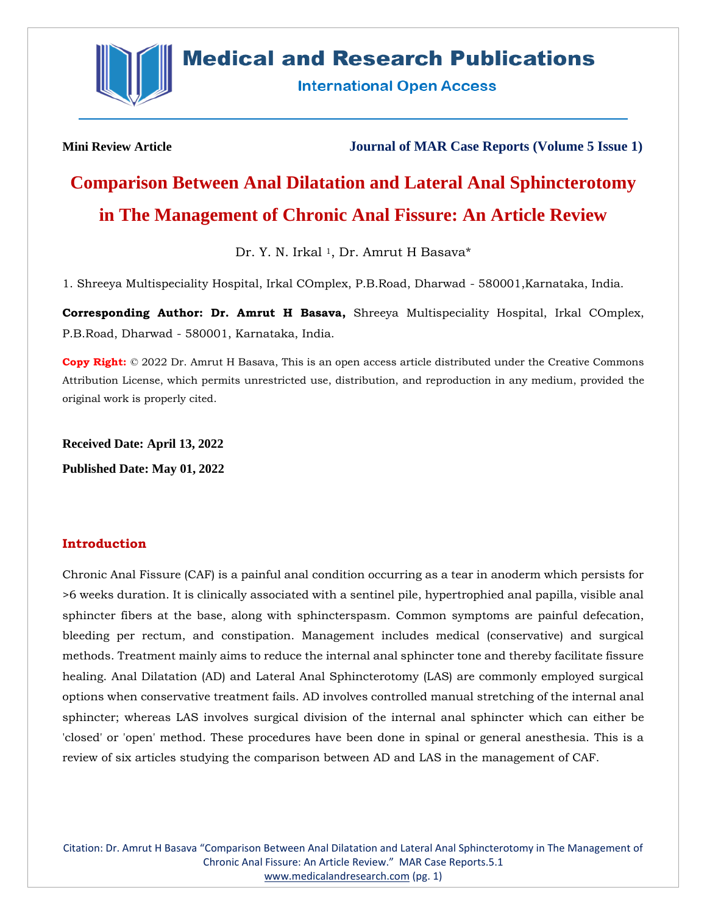

# **Medical and Research Publications**

**International Open Access** 

**Mini Review Article Journal of MAR Case Reports (Volume 5 Issue 1)**

# **Comparison Between Anal Dilatation and Lateral Anal Sphincterotomy in The Management of Chronic Anal Fissure: An Article Review**

Dr. Y. N. Irkal<sup>1</sup>, Dr. Amrut H Basava\*

1. Shreeya Multispeciality Hospital, Irkal COmplex, P.B.Road, Dharwad - 580001,Karnataka, India.

**Corresponding Author: Dr. Amrut H Basava,** Shreeya Multispeciality Hospital, Irkal COmplex, P.B.Road, Dharwad - 580001, Karnataka, India.

**Copy Right:** © 2022 Dr. Amrut H Basava, This is an open access article distributed under the Creative Commons Attribution License, which permits unrestricted use, distribution, and reproduction in any medium, provided the original work is properly cited.

**Received Date: April 13, 2022 Published Date: May 01, 2022**

# **Introduction**

Chronic Anal Fissure (CAF) is a painful anal condition occurring as a tear in anoderm which persists for >6 weeks duration. It is clinically associated with a sentinel pile, hypertrophied anal papilla, visible anal sphincter fibers at the base, along with sphincterspasm. Common symptoms are painful defecation, bleeding per rectum, and constipation. Management includes medical (conservative) and surgical methods. Treatment mainly aims to reduce the internal anal sphincter tone and thereby facilitate fissure healing. Anal Dilatation (AD) and Lateral Anal Sphincterotomy (LAS) are commonly employed surgical options when conservative treatment fails. AD involves controlled manual stretching of the internal anal sphincter; whereas LAS involves surgical division of the internal anal sphincter which can either be 'closed' or 'open' method. These procedures have been done in spinal or general anesthesia. This is a review of six articles studying the comparison between AD and LAS in the management of CAF.

Citation: Dr. Amrut H Basava "Comparison Between Anal Dilatation and Lateral Anal Sphincterotomy in The Management of Chronic Anal Fissure: An Article Review." MAR Case Reports.5.1 [www.medicalandresearch.com](http://www.medicalandresearch.com/) (pg. 1)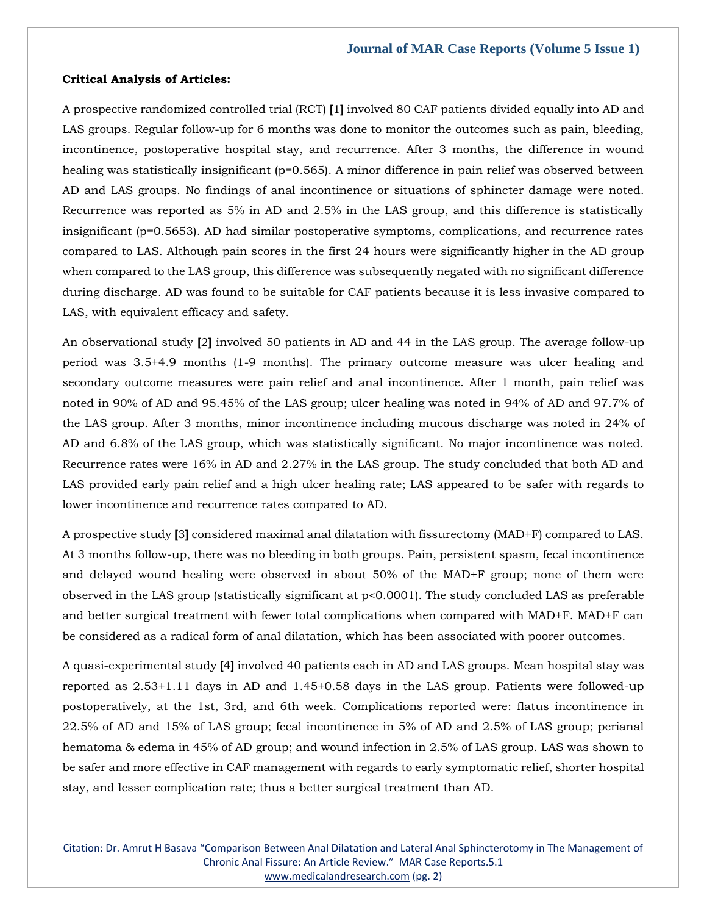#### **Critical Analysis of Articles:**

A prospective randomized controlled trial (RCT) **[**1**]** involved 80 CAF patients divided equally into AD and LAS groups. Regular follow-up for 6 months was done to monitor the outcomes such as pain, bleeding, incontinence, postoperative hospital stay, and recurrence. After 3 months, the difference in wound healing was statistically insignificant ( $p=0.565$ ). A minor difference in pain relief was observed between AD and LAS groups. No findings of anal incontinence or situations of sphincter damage were noted. Recurrence was reported as 5% in AD and 2.5% in the LAS group, and this difference is statistically insignificant (p=0.5653). AD had similar postoperative symptoms, complications, and recurrence rates compared to LAS. Although pain scores in the first 24 hours were significantly higher in the AD group when compared to the LAS group, this difference was subsequently negated with no significant difference during discharge. AD was found to be suitable for CAF patients because it is less invasive compared to LAS, with equivalent efficacy and safety.

An observational study **[**2**]** involved 50 patients in AD and 44 in the LAS group. The average follow-up period was 3.5+4.9 months (1-9 months). The primary outcome measure was ulcer healing and secondary outcome measures were pain relief and anal incontinence. After 1 month, pain relief was noted in 90% of AD and 95.45% of the LAS group; ulcer healing was noted in 94% of AD and 97.7% of the LAS group. After 3 months, minor incontinence including mucous discharge was noted in 24% of AD and 6.8% of the LAS group, which was statistically significant. No major incontinence was noted. Recurrence rates were 16% in AD and 2.27% in the LAS group. The study concluded that both AD and LAS provided early pain relief and a high ulcer healing rate; LAS appeared to be safer with regards to lower incontinence and recurrence rates compared to AD.

A prospective study **[**3**]** considered maximal anal dilatation with fissurectomy (MAD+F) compared to LAS. At 3 months follow-up, there was no bleeding in both groups. Pain, persistent spasm, fecal incontinence and delayed wound healing were observed in about 50% of the MAD+F group; none of them were observed in the LAS group (statistically significant at p<0.0001). The study concluded LAS as preferable and better surgical treatment with fewer total complications when compared with MAD+F. MAD+F can be considered as a radical form of anal dilatation, which has been associated with poorer outcomes.

A quasi-experimental study **[**4**]** involved 40 patients each in AD and LAS groups. Mean hospital stay was reported as 2.53+1.11 days in AD and 1.45+0.58 days in the LAS group. Patients were followed-up postoperatively, at the 1st, 3rd, and 6th week. Complications reported were: flatus incontinence in 22.5% of AD and 15% of LAS group; fecal incontinence in 5% of AD and 2.5% of LAS group; perianal hematoma & edema in 45% of AD group; and wound infection in 2.5% of LAS group. LAS was shown to be safer and more effective in CAF management with regards to early symptomatic relief, shorter hospital stay, and lesser complication rate; thus a better surgical treatment than AD.

Citation: Dr. Amrut H Basava "Comparison Between Anal Dilatation and Lateral Anal Sphincterotomy in The Management of Chronic Anal Fissure: An Article Review." MAR Case Reports.5.1 [www.medicalandresearch.com](http://www.medicalandresearch.com/) (pg. 2)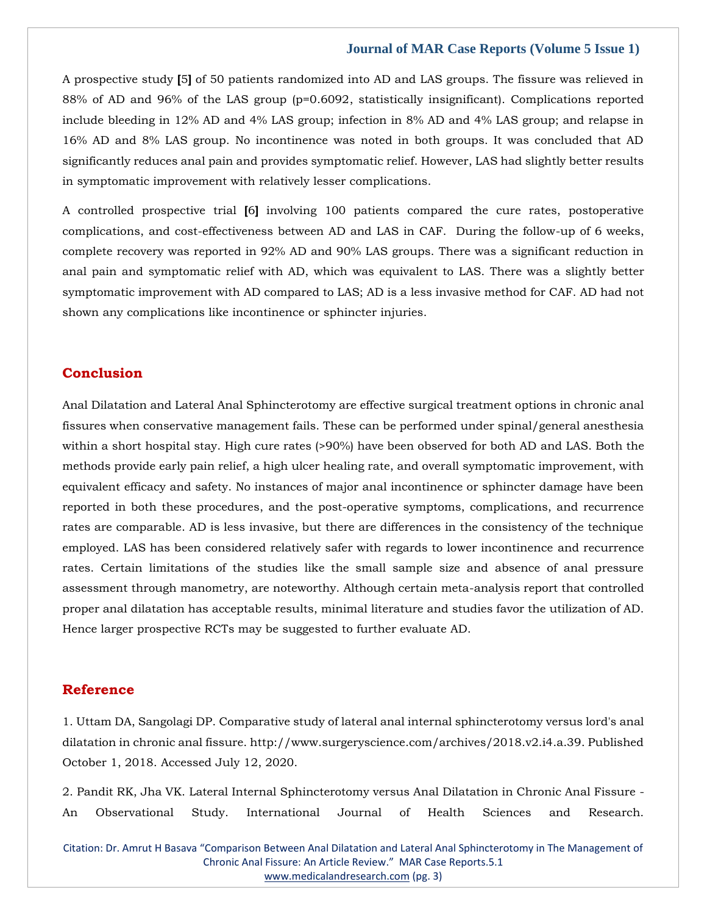#### **Journal of MAR Case Reports (Volume 5 Issue 1)**

A prospective study **[**5**]** of 50 patients randomized into AD and LAS groups. The fissure was relieved in 88% of AD and 96% of the LAS group (p=0.6092, statistically insignificant). Complications reported include bleeding in 12% AD and 4% LAS group; infection in 8% AD and 4% LAS group; and relapse in 16% AD and 8% LAS group. No incontinence was noted in both groups. It was concluded that AD significantly reduces anal pain and provides symptomatic relief. However, LAS had slightly better results in symptomatic improvement with relatively lesser complications.

A controlled prospective trial **[**6**]** involving 100 patients compared the cure rates, postoperative complications, and cost-effectiveness between AD and LAS in CAF. During the follow-up of 6 weeks, complete recovery was reported in 92% AD and 90% LAS groups. There was a significant reduction in anal pain and symptomatic relief with AD, which was equivalent to LAS. There was a slightly better symptomatic improvement with AD compared to LAS; AD is a less invasive method for CAF. AD had not shown any complications like incontinence or sphincter injuries.

# **Conclusion**

Anal Dilatation and Lateral Anal Sphincterotomy are effective surgical treatment options in chronic anal fissures when conservative management fails. These can be performed under spinal/general anesthesia within a short hospital stay. High cure rates (>90%) have been observed for both AD and LAS. Both the methods provide early pain relief, a high ulcer healing rate, and overall symptomatic improvement, with equivalent efficacy and safety. No instances of major anal incontinence or sphincter damage have been reported in both these procedures, and the post-operative symptoms, complications, and recurrence rates are comparable. AD is less invasive, but there are differences in the consistency of the technique employed. LAS has been considered relatively safer with regards to lower incontinence and recurrence rates. Certain limitations of the studies like the small sample size and absence of anal pressure assessment through manometry, are noteworthy. Although certain meta-analysis report that controlled proper anal dilatation has acceptable results, minimal literature and studies favor the utilization of AD. Hence larger prospective RCTs may be suggested to further evaluate AD.

### **Reference**

[1. Uttam DA, Sangolagi DP. Comparative study of lateral anal internal sphincterotomy versus lord's anal](file:///C:/Users/Arief%20Mahimudh/Desktop/April/NE/1.%20Uttam%20DA,%20Sangolagi%20DP.%20Comparative%20study%20of%20lateral%20anal%20internal%20sphincterotomy%20versus%20lord)  [dilatation in chronic anal fissure. http://www.surgeryscience.com/archives/2018.v2.i4.a.39. Published](file:///C:/Users/Arief%20Mahimudh/Desktop/April/NE/1.%20Uttam%20DA,%20Sangolagi%20DP.%20Comparative%20study%20of%20lateral%20anal%20internal%20sphincterotomy%20versus%20lord)  [October 1, 2018. Accessed July 12, 2020.](file:///C:/Users/Arief%20Mahimudh/Desktop/April/NE/1.%20Uttam%20DA,%20Sangolagi%20DP.%20Comparative%20study%20of%20lateral%20anal%20internal%20sphincterotomy%20versus%20lord)

[2. Pandit RK, Jha VK. Lateral Internal Sphincterotomy versus Anal Dilatation in Chronic Anal Fissure -](file:///C:/Users/Arief%20Mahimudh/Desktop/April/NE/2.%20Pandit%20RK,%20Jha%20VK.%20Lateral%20Internal%20Sphincterotomy%20versus%20Anal%20Dilatation%20in%20Chronic%20Anal%20Fissure%20-%20An%20Observational%20Study.%20International%20Journal%20of%20Health%20Sciences%20and%20Research.%20https:/ijhsr.org/IJHSR_Vol.9_Issue.10_Oct2019/IJHSR_Abstract.016.html.%20Published%20January%201,%201970.%20Accessed%20July%2012,%202020.) [An Observational Study. International Journal of Health Sciences and Research.](file:///C:/Users/Arief%20Mahimudh/Desktop/April/NE/2.%20Pandit%20RK,%20Jha%20VK.%20Lateral%20Internal%20Sphincterotomy%20versus%20Anal%20Dilatation%20in%20Chronic%20Anal%20Fissure%20-%20An%20Observational%20Study.%20International%20Journal%20of%20Health%20Sciences%20and%20Research.%20https:/ijhsr.org/IJHSR_Vol.9_Issue.10_Oct2019/IJHSR_Abstract.016.html.%20Published%20January%201,%201970.%20Accessed%20July%2012,%202020.) 

Citation: Dr. Amrut H Basava "Comparison Between Anal Dilatation and Lateral Anal Sphincterotomy in The Management of Chronic Anal Fissure: An Article Review." MAR Case Reports.5.1 [www.medicalandresearch.com](http://www.medicalandresearch.com/) (pg. 3)